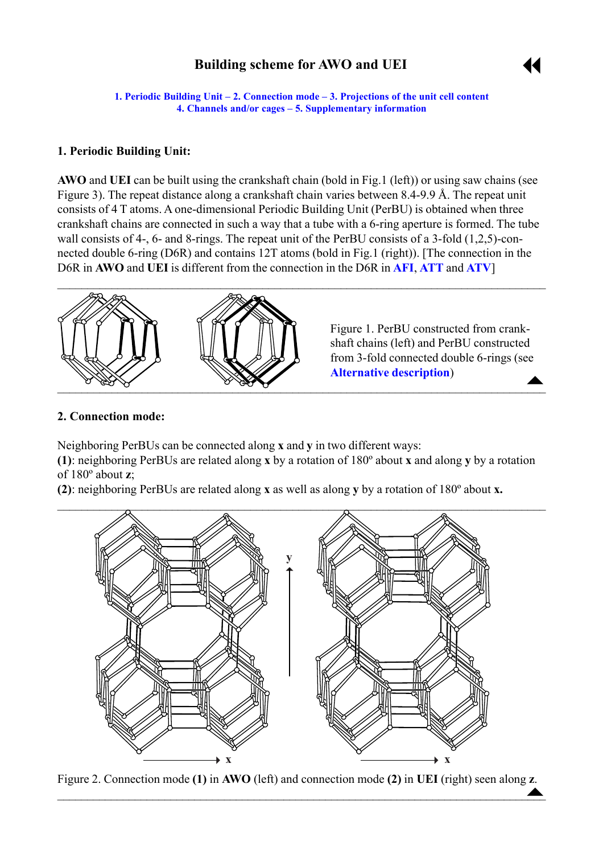# **Building scheme for AWO and UEI**



<span id="page-0-0"></span>**1. Periodic Building Unit – 2. Connection mode – [3. Projections of the unit cell](#page-1-0) content [4. Channels and/or cages](#page-1-0) ñ [5. Supplementary information](#page-2-0)**

## **1. Periodic Building Unit:**

**AWO** and **UEI** can be built using the crankshaft chain (bold in Fig.1 (left)) or using saw chains (see Figure 3). The repeat distance along a crankshaft chain varies between 8.4-9.9 Å. The repeat unit consists of 4 T atoms. A one-dimensional Periodic Building Unit (PerBU) is obtained when three crankshaft chains are connected in such a way that a tube with a 6-ring aperture is formed. The tube wall consists of 4-, 6- and 8-rings. The repeat unit of the PerBU consists of a 3-fold (1,2,5)-connected double 6-ring (D6R) and contains 12T atoms (bold in Fig.1 (right)). [The connection in the D6R in **AWO** and **UEI** is different from the connection in the D6R in **[AFI](http://www.iza-structure.org/databases/ModelBuilding/AFI.pdf)**, **[ATT](http://www.iza-structure.org/databases/ModelBuilding/ATT.pdf)** and **[ATV](http://www.iza-structure.org/databases/ModelBuilding/ATV.pdf)**]



 $\triangle$ Figure 1. PerBU constructed from crankshaft chains (left) and PerBU constructed from 3-fold connected double 6-rings (see **[Alternative description](#page-3-0)**)

# **2. Connection mode:**

Neighboring PerBUs can be connected along **x** and **y** in two different ways:

**(1)**: neighboring PerBUs are related along **x** by a rotation of 180º about **x** and along **y** by a rotation of 180º about **z**;

**(2)**: neighboring PerBUs are related along **x** as well as along **y** by a rotation of 180º about **x.**



Figure 2. Connection mode **(1)** in **AWO** (left) and connection mode **(2)** in **UEI** (right) seen along **z**.  $\blacktriangle$  , and the contribution of the contribution of the contribution of the contribution of  $\blacktriangle$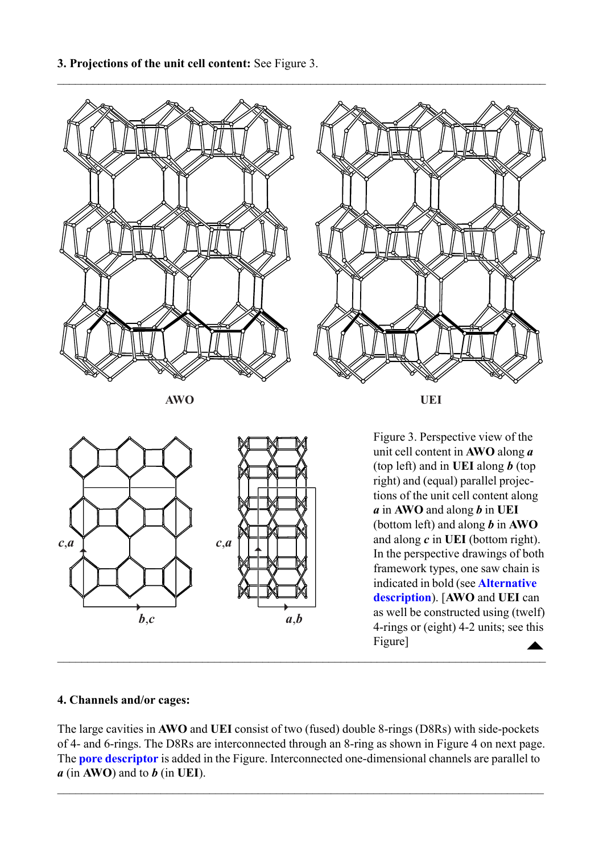<span id="page-1-0"></span>



## **4. Channels and/or cages:**

The large cavities in **AWO** and **UEI** consist of two (fused) double 8-rings (D8Rs) with side-pockets of 4- and 6-rings. The D8Rs are interconnected through an 8-ring as shown in Figure 4 on next page. The **[pore descriptor](http://www.iza-structure.org/databases/ModelBuilding/Introduction.pdf)** is added in the Figure. Interconnected one-dimensional channels are parallel to *a* (in **AWO**) and to *b* (in **UEI**).

 $\mathcal{L}_\mathcal{L} = \{ \mathcal{L}_\mathcal{L} = \{ \mathcal{L}_\mathcal{L} = \{ \mathcal{L}_\mathcal{L} = \{ \mathcal{L}_\mathcal{L} = \{ \mathcal{L}_\mathcal{L} = \{ \mathcal{L}_\mathcal{L} = \{ \mathcal{L}_\mathcal{L} = \{ \mathcal{L}_\mathcal{L} = \{ \mathcal{L}_\mathcal{L} = \{ \mathcal{L}_\mathcal{L} = \{ \mathcal{L}_\mathcal{L} = \{ \mathcal{L}_\mathcal{L} = \{ \mathcal{L}_\mathcal{L} = \{ \mathcal{L}_\mathcal{$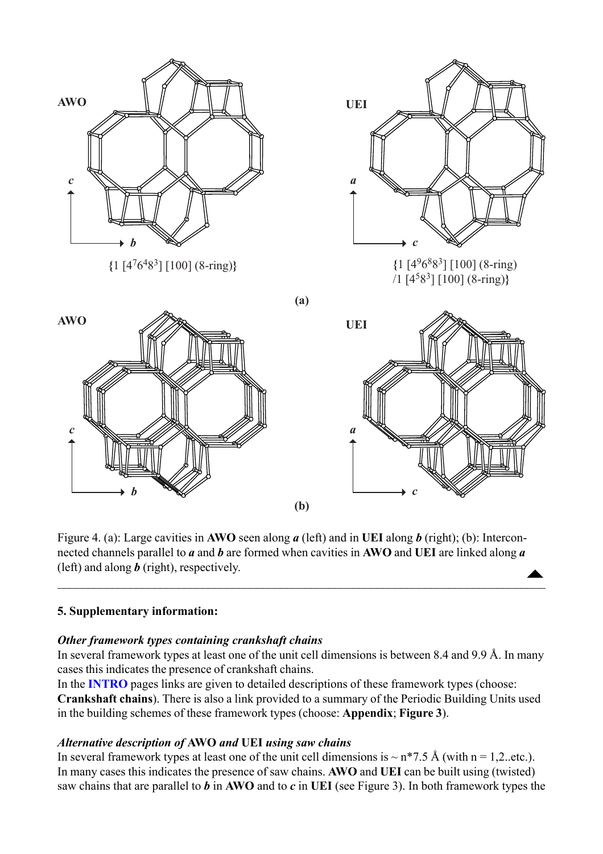<span id="page-2-0"></span>

Figure 4. (a): Large cavities in **AWO** seen along *a* (left) and in **UEI** along *b* (right); (b): Interconnected channels parallel to *a* and *b* are formed when cavities in **AWO** and **UEI** are linked along *a* (left) and along *b* (right), respectively.  $\begin{array}{c}\n\blacktriangle\n\end{array}$ 

 $\overline{\phantom{a}}$  , and the contribution of the contribution of the contribution of the contribution of the contribution of  $\overline{\phantom{a}}$ 

## **5. Supplementary information:**

## *Other framework types containing crankshaft chains*

In several framework types at least one of the unit cell dimensions is between 8.4 and 9.9 Å. In many cases this indicates the presence of crankshaft chains.

In the **[INTRO](http://www.iza-structure.org/databases/ModelBuilding/Introduction.pdf)** pages links are given to detailed descriptions of these framework types (choose: **Crankshaft chains**). There is also a link provided to a summary of the Periodic Building Units used in the building schemes of these framework types (choose: **Appendix**; **Figure 3**).

## *Alternative description of* **AWO** *and* **UEI** *using saw chains*

In several framework types at least one of the unit cell dimensions is  $\sim$  n\*7.5 Å (with n = 1,2..etc.). In many cases this indicates the presence of saw chains. **AWO** and **UEI** can be built using (twisted) saw chains that are parallel to *b* in **AWO** and to *c* in **UEI** (see Figure 3). In both framework types the